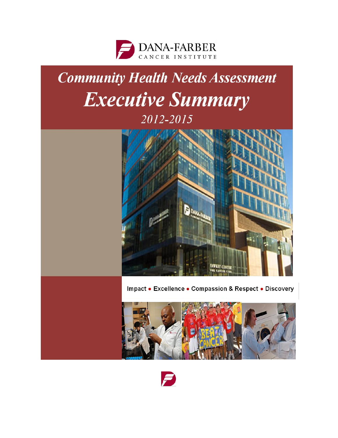

# **Community Health Needs Assessment** Executive Summary 2012-2015



Impact . Excellence . Compassion & Respect . Discovery



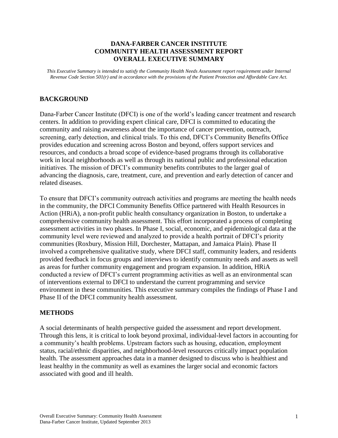## **DANA-FARBER CANCER INSTITUTE COMMUNITY HEALTH ASSESSMENT REPORT OVERALL EXECUTIVE SUMMARY**

*This Executive Summary is intended to satisfy the Community Health Needs Assessment report requirement under Internal Revenue Code Section 501(r) and in accordance with the provisions of the Patient Protection and Affordable Care Act.* 

## **BACKGROUND**

Dana-Farber Cancer Institute (DFCI) is one of the world's leading cancer treatment and research centers. In addition to providing expert clinical care, DFCI is committed to educating the community and raising awareness about the importance of cancer prevention, outreach, screening, early detection, and clinical trials. To this end, DFCI's Community Benefits Office provides education and screening across Boston and beyond, offers support services and resources, and conducts a broad scope of evidence-based programs through its collaborative work in local neighborhoods as well as through its national public and professional education initiatives. The mission of DFCI's community benefits contributes to the larger goal of advancing the diagnosis, care, treatment, cure, and prevention and early detection of cancer and related diseases.

To ensure that DFCI's community outreach activities and programs are meeting the health needs in the community, the DFCI Community Benefits Office partnered with Health Resources in Action (HRiA), a non-profit public health consultancy organization in Boston, to undertake a comprehensive community health assessment. This effort incorporated a process of completing assessment activities in two phases. In Phase I, social, economic, and epidemiological data at the community level were reviewed and analyzed to provide a health portrait of DFCI's priority communities (Roxbury, Mission Hill, Dorchester, Mattapan, and Jamaica Plain). Phase II involved a comprehensive qualitative study, where DFCI staff, community leaders, and residents provided feedback in focus groups and interviews to identify community needs and assets as well as areas for further community engagement and program expansion. In addition, HRiA conducted a review of DFCI's current programming activities as well as an environmental scan of interventions external to DFCI to understand the current programming and service environment in these communities. This executive summary compiles the findings of Phase I and Phase II of the DFCI community health assessment.

#### **METHODS**

A social determinants of health perspective guided the assessment and report development. Through this lens, it is critical to look beyond proximal, individual-level factors in accounting for a community's health problems. Upstream factors such as housing, education, employment status, racial/ethnic disparities, and neighborhood-level resources critically impact population health. The assessment approaches data in a manner designed to discuss who is healthiest and least healthy in the community as well as examines the larger social and economic factors associated with good and ill health.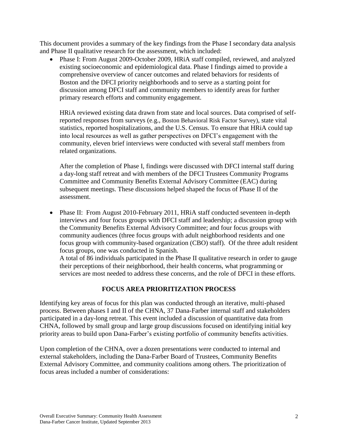This document provides a summary of the key findings from the Phase I secondary data analysis and Phase II qualitative research for the assessment, which included:

• Phase I: From August 2009-October 2009, HRiA staff compiled, reviewed, and analyzed existing socioeconomic and epidemiological data. Phase I findings aimed to provide a comprehensive overview of cancer outcomes and related behaviors for residents of Boston and the DFCI priority neighborhoods and to serve as a starting point for discussion among DFCI staff and community members to identify areas for further primary research efforts and community engagement.

HRiA reviewed existing data drawn from state and local sources. Data comprised of selfreported responses from surveys (e.g., Boston Behavioral Risk Factor Survey), state vital statistics, reported hospitalizations, and the U.S. Census. To ensure that HRiA could tap into local resources as well as gather perspectives on DFCI's engagement with the community, eleven brief interviews were conducted with several staff members from related organizations.

After the completion of Phase I, findings were discussed with DFCI internal staff during a day-long staff retreat and with members of the DFCI Trustees Community Programs Committee and Community Benefits External Advisory Committee (EAC) during subsequent meetings. These discussions helped shaped the focus of Phase II of the assessment.

• Phase II: From August 2010-February 2011, HRiA staff conducted seventeen in-depth interviews and four focus groups with DFCI staff and leadership; a discussion group with the Community Benefits External Advisory Committee; and four focus groups with community audiences (three focus groups with adult neighborhood residents and one focus group with community-based organization (CBO) staff). Of the three adult resident focus groups, one was conducted in Spanish.

A total of 86 individuals participated in the Phase II qualitative research in order to gauge their perceptions of their neighborhood, their health concerns, what programming or services are most needed to address these concerns, and the role of DFCI in these efforts.

## **FOCUS AREA PRIORITIZATION PROCESS**

Identifying key areas of focus for this plan was conducted through an iterative, multi-phased process. Between phases I and II of the CHNA, 37 Dana-Farber internal staff and stakeholders participated in a day-long retreat. This event included a discussion of quantitative data from CHNA, followed by small group and large group discussions focused on identifying initial key priority areas to build upon Dana-Farber's existing portfolio of community benefits activities.

Upon completion of the CHNA, over a dozen presentations were conducted to internal and external stakeholders, including the Dana-Farber Board of Trustees, Community Benefits External Advisory Committee, and community coalitions among others. The prioritization of focus areas included a number of considerations: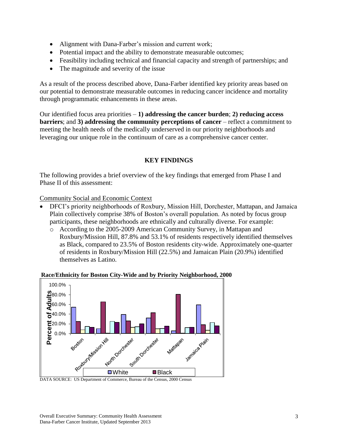- Alignment with Dana-Farber's mission and current work;
- Potential impact and the ability to demonstrate measurable outcomes;
- Feasibility including technical and financial capacity and strength of partnerships; and
- The magnitude and severity of the issue

As a result of the process described above, Dana-Farber identified key priority areas based on our potential to demonstrate measurable outcomes in reducing cancer incidence and mortality through programmatic enhancements in these areas.

Our identified focus area priorities – **1) addressing the cancer burden**; **2) reducing access barriers**; and **3) addressing the community perceptions of cancer** – reflect a commitment to meeting the health needs of the medically underserved in our priority neighborhoods and leveraging our unique role in the continuum of care as a comprehensive cancer center.

## **KEY FINDINGS**

The following provides a brief overview of the key findings that emerged from Phase I and Phase II of this assessment:

Community Social and Economic Context

- DFCI's priority neighborhoods of Roxbury, Mission Hill, Dorchester, Mattapan, and Jamaica Plain collectively comprise 38% of Boston's overall population. As noted by focus group participants, these neighborhoods are ethnically and culturally diverse. For example:
	- o According to the 2005-2009 American Community Survey, in Mattapan and Roxbury/Mission Hill, 87.8% and 53.1% of residents respectively identified themselves as Black, compared to 23.5% of Boston residents city-wide. Approximately one-quarter of residents in Roxbury/Mission Hill (22.5%) and Jamaican Plain (20.9%) identified themselves as Latino.



#### **Race/Ethnicity for Boston City-Wide and by Priority Neighborhood, 2000**

DATA SOURCE: US Department of Commerce, Bureau of the Census, 2000 Census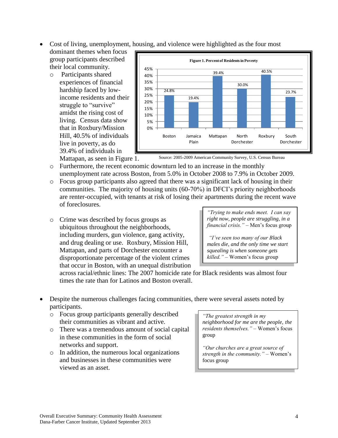- Cost of living, unemployment, housing, and violence were highlighted as the four most
- dominant themes when focus group participants described their local community.
	- o Participants shared experiences of financial hardship faced by lowincome residents and their struggle to "survive" amidst the rising cost of living. Census data show that in Roxbury/Mission Hill, 40.5% of individuals live in poverty, as do 39.4% of individuals in



Mattapan, as seen in Figure 1.

Source: 2005-2009 American Community Survey, U.S. Census Bureau

- o Furthermore, the recent economic downturn led to an increase in the monthly unemployment rate across Boston, from 5.0% in October 2008 to 7.9% in October 2009.
- o Focus group participants also agreed that there was a significant lack of housing in their communities. The majority of housing units (60-70%) in DFCI's priority neighborhoods are renter-occupied, with tenants at risk of losing their apartments during the recent wave of foreclosures.
- o Crime was described by focus groups as ubiquitous throughout the neighborhoods, including murders, gun violence, gang activity, and drug dealing or use. Roxbury, Mission Hill, Mattapan, and parts of Dorchester encounter a disproportionate percentage of the violent crimes that occur in Boston, with an unequal distribution

*"Trying to make ends meet. I can say right now, people are struggling, in a financial crisis."* – Men's focus group

*"I've seen too many of our Black males die, and the only time we start squealing is when someone gets killed."* – Women's focus group

across racial/ethnic lines: The 2007 homicide rate for Black residents was almost four times the rate than for Latinos and Boston overall.

- Despite the numerous challenges facing communities, there were several assets noted by participants.
	- o Focus group participants generally described their communities as vibrant and active.
	- o There was a tremendous amount of social capital in these communities in the form of social networks and support.
	- o In addition, the numerous local organizations and businesses in these communities were viewed as an asset.

*"The greatest strength in my neighborhood for me are the people, the residents themselves."* – Women's focus group

*"Our churches are a great source of strength in the community." –* Women's focus group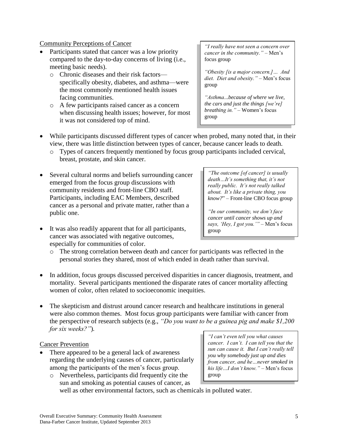#### o A few participants raised cancer as a concern when discussing health issues; however, for most

facing communities.

meeting basic needs).

Community Perceptions of Cancer

it was not considered top of mind.

 Participants stated that cancer was a low priority compared to the day-to-day concerns of living (i.e.,

specifically obesity, diabetes, and asthma—were the most commonly mentioned health issues

o Chronic diseases and their risk factors—

#### *"I really have not seen a concern over cancer in the community." –* Men's focus group

*"Obesity [is a major concern.]… And diet. Diet and obesity."* – Men's focus group

*"Asthma...because of where we live, the cars and just the things [we're] breathing in."* – Women's focus group

- While participants discussed different types of cancer when probed, many noted that, in their view, there was little distinction between types of cancer, because cancer leads to death.
	- o Types of cancers frequently mentioned by focus group participants included cervical, breast, prostate, and skin cancer.
- Several cultural norms and beliefs surrounding cancer emerged from the focus group discussions with community residents and front-line CBO staff. Participants, including EAC Members, described cancer as a personal and private matter, rather than a public one.
- It was also readily apparent that for all participants, cancer was associated with negative outcomes, especially for communities of color.

*"The outcome [of cancer] is usually death…It's something that, it's not really public. It's not really talked about. It's like a private thing, you know?*" – Front-line CBO focus group

*"In our community, we don't face cancer until cancer shows up and says, 'Hey, I got you.'"* – Men's focus group

- o The strong correlation between death and cancer for participants was reflected in the personal stories they shared, most of which ended in death rather than survival.
- In addition, focus groups discussed perceived disparities in cancer diagnosis, treatment, and mortality. Several participants mentioned the disparate rates of cancer mortality affecting women of color, often related to socioeconomic inequities.
- The skepticism and distrust around cancer research and healthcare institutions in general were also common themes. Most focus group participants were familiar with cancer from the perspective of research subjects (e.g., *"Do you want to be a guinea pig and make \$1,200 for six weeks?"*)*.*

## Cancer Prevention

- There appeared to be a general lack of awareness regarding the underlying causes of cancer, particularly among the participants of the men's focus group.
	- o Nevertheless, participants did frequently cite the sun and smoking as potential causes of cancer, as

*"I can't even tell you what causes cancer. I can't. I can tell you that the sun can cause it. But I can't really tell you why somebody just up and dies from cancer, and he…never smoked in his life…I don't know."* – Men's focus group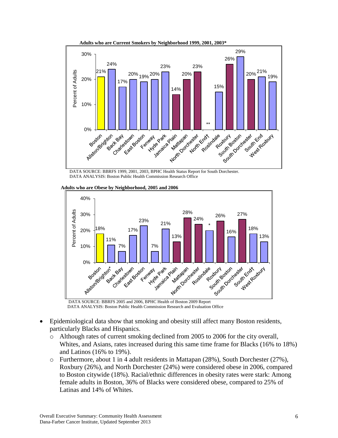

DATA SOURCE: BBRFS 1999, 2001, 2003, BPHC Health Status Report for South Dorchester. DATA ANALYSIS: Boston Public Health Commission Research Office



**Adults who are Obese by Neighborhood, 2005 and 2006**

DATA ANALYSIS: Boston Public Health Commission Research and Evaluation Office

- Epidemiological data show that smoking and obesity still affect many Boston residents, particularly Blacks and Hispanics.
	- o Although rates of current smoking declined from 2005 to 2006 for the city overall, Whites, and Asians, rates increased during this same time frame for Blacks (16% to 18%) and Latinos (16% to 19%).
	- $\circ$  Furthermore, about 1 in 4 adult residents in Mattapan (28%), South Dorchester (27%), Roxbury (26%), and North Dorchester (24%) were considered obese in 2006, compared to Boston citywide (18%). Racial/ethnic differences in obesity rates were stark: Among female adults in Boston, 36% of Blacks were considered obese, compared to 25% of Latinas and 14% of Whites.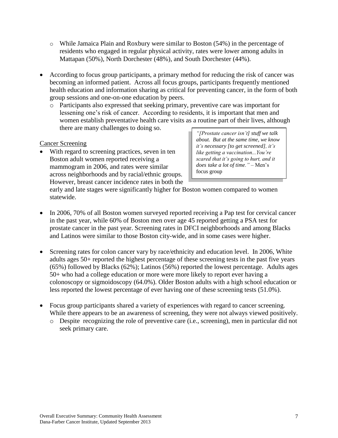- $\circ$  While Jamaica Plain and Roxbury were similar to Boston (54%) in the percentage of residents who engaged in regular physical activity, rates were lower among adults in Mattapan (50%), North Dorchester (48%), and South Dorchester (44%).
- According to focus group participants, a primary method for reducing the risk of cancer was becoming an informed patient. Across all focus groups, participants frequently mentioned health education and information sharing as critical for preventing cancer, in the form of both group sessions and one-on-one education by peers.
	- o Participants also expressed that seeking primary, preventive care was important for lessening one's risk of cancer. According to residents, it is important that men and women establish preventative health care visits as a routine part of their lives, although there are many challenges to doing so.

## Cancer Screening

 With regard to screening practices, seven in ten Boston adult women reported receiving a mammogram in 2006, and rates were similar across neighborhoods and by racial/ethnic groups. However, breast cancer incidence rates in both the

*"[Prostate cancer isn't] stuff we talk about. But at the same time, we know it's necessary [to get screened], it's like getting a vaccination...You're scared that it's going to hurt, and it does take a lot of time."* – Men's focus group

early and late stages were significantly higher for Boston women compared to women statewide.

- In 2006, 70% of all Boston women surveyed reported receiving a Pap test for cervical cancer in the past year, while 60% of Boston men over age 45 reported getting a PSA test for prostate cancer in the past year. Screening rates in DFCI neighborhoods and among Blacks and Latinos were similar to those Boston city-wide, and in some cases were higher.
- Screening rates for colon cancer vary by race/ethnicity and education level. In 2006, White adults ages 50+ reported the highest percentage of these screening tests in the past five years (65%) followed by Blacks (62%); Latinos (56%) reported the lowest percentage. Adults ages 50+ who had a college education or more were more likely to report ever having a colonoscopy or sigmoidoscopy (64.0%). Older Boston adults with a high school education or less reported the lowest percentage of ever having one of these screening tests (51.0%).
- Focus group participants shared a variety of experiences with regard to cancer screening. While there appears to be an awareness of screening, they were not always viewed positively.
	- o Despite recognizing the role of preventive care (i.e., screening), men in particular did not seek primary care.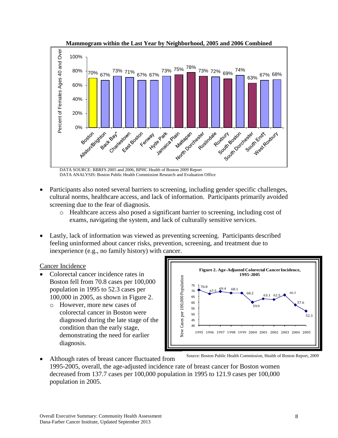

DATA SOURCE: BBRFS 2005 and 2006, BPHC Health of Boston 2009 Report DATA ANALYSIS: Boston Public Health Commission Research and Evaluation Office

- Participants also noted several barriers to screening, including gender specific challenges, cultural norms, healthcare access, and lack of information. Participants primarily avoided screening due to the fear of diagnosis.
	- o Healthcare access also posed a significant barrier to screening, including cost of exams, navigating the system, and lack of culturally sensitive services.
- Lastly, lack of information was viewed as preventing screening. Participants described feeling uninformed about cancer risks, prevention, screening, and treatment due to inexperience (e.g., no family history) with cancer.

#### Cancer Incidence

- Colorectal cancer incidence rates in Boston fell from 70.8 cases per 100,000 population in 1995 to 52.3 cases per 100,000 in 2005, as shown in Figure 2.
	- o However, more new cases of colorectal cancer in Boston were diagnosed during the late stage of the condition than the early stage, demonstrating the need for earlier diagnosis.



- 1995-2005, overall, the age-adjusted incidence rate of breast cancer for Boston women decreased from 137.7 cases per 100,000 population in 1995 to 121.9 cases per 100,000 population in 2005. Source: Boston Public Health Commission, Health of Boston Report, 2009
- Although rates of breast cancer fluctuated from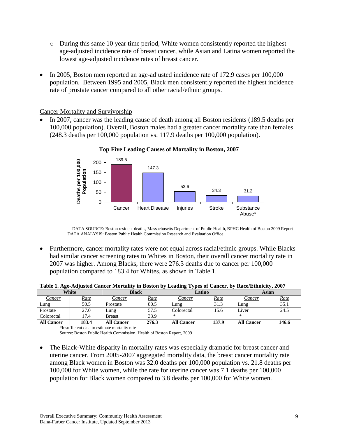- $\circ$  During this same 10 year time period, White women consistently reported the highest age-adjusted incidence rate of breast cancer, while Asian and Latina women reported the lowest age-adjusted incidence rates of breast cancer.
- In 2005, Boston men reported an age-adjusted incidence rate of 172.9 cases per 100,000 population. Between 1995 and 2005, Black men consistently reported the highest incidence rate of prostate cancer compared to all other racial/ethnic groups.

Cancer Mortality and Survivorship

 In 2007, cancer was the leading cause of death among all Boston residents (189.5 deaths per 100,000 population). Overall, Boston males had a greater cancer mortality rate than females (248.3 deaths per 100,000 population vs. 117.9 deaths per 100,000 population).



 DATA SOURCE: Boston resident deaths, Massachusetts Department of Public Health, BPHC Health of Boston 2009 Report DATA ANALYSIS: Boston Public Health Commission Research and Evaluation Office

 Furthermore, cancer mortality rates were not equal across racial/ethnic groups. While Blacks had similar cancer screening rates to Whites in Boston, their overall cancer mortality rate in 2007 was higher. Among Blacks, there were 276.3 deaths due to cancer per 100,000 population compared to 183.4 for Whites, as shown in Table 1.

| White             |             | <b>Black</b>      |             | Latino            |             | Asian             |             |
|-------------------|-------------|-------------------|-------------|-------------------|-------------|-------------------|-------------|
| <u>Cancer</u>     | <u>Rate</u> | Cancer            | <u>Rate</u> | <u>Cancer</u>     | <u>Rate</u> | <b>Cancer</b>     | <u>Rate</u> |
| Lung              | 50.5        | Prostate          | 80.5        | Lung              | 31.3        | Lung              | 35.1        |
| Prostate          | 27.0        | Lung              | 57.5        | Colorectal        | 15.6        | Liver             | 24.5        |
| Colorectal        | 17.4        | <b>Breast</b>     | 33.9        | ∗                 |             |                   |             |
| <b>All Cancer</b> | 183.4       | <b>All Cancer</b> | 276.3       | <b>All Cancer</b> | 137.9       | <b>All Cancer</b> | 146.6       |

**Table 1. Age-Adjusted Cancer Mortality in Boston by Leading Types of Cancer, by Race/Ethnicity, 2007**

\*Insufficient data to estimate mortality rate

Source: Boston Public Health Commission, Health of Boston Report, 2009

• The Black-White disparity in mortality rates was especially dramatic for breast cancer and uterine cancer. From 2005-2007 aggregated mortality data, the breast cancer mortality rate among Black women in Boston was 32.0 deaths per 100,000 population vs. 21.8 deaths per 100,000 for White women, while the rate for uterine cancer was 7.1 deaths per 100,000 population for Black women compared to 3.8 deaths per 100,000 for White women.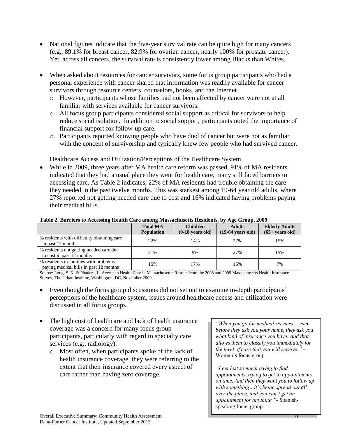- National figures indicate that the five-year survival rate can be quite high for many cancers (e.g., 89.1% for breast cancer, 82.9% for ovarian cancer, nearly 100% for prostate cancer). Yet, across all cancers, the survival rate is consistently lower among Blacks than Whites.
- When asked about resources for cancer survivors, some focus group participants who had a personal experience with cancer shared that information was readily available for cancer survivors through resource centers, counselors, books, and the Internet.
	- o However, participants whose families had not been affected by cancer were not at all familiar with services available for cancer survivors.
	- o All focus group participants considered social support as critical for survivors to help reduce social isolation. In addition to social support, participants noted the importance of financial support for follow-up care.
	- o Participants reported knowing people who have died of cancer but were not as familiar with the concept of survivorship and typically knew few people who had survived cancer.

## Healthcare Access and Utilization/Perceptions of the Healthcare System

• While in 2009, three years after MA health care reform was passed, 91% of MA residents indicated that they had a usual place they went for health care, many still faced barriers to accessing care. As Table 2 indicates, 22% of MA residents had trouble obtaining the care they needed in the past twelve months. This was starkest among 19-64 year old adults, where 27% reported not getting needed care due to cost and 16% indicated having problems paying their medical bills.

| Table 2. Darriers to Accessing freature care alliong massachusetts residents, by Age Group, 2007 |                                      |                                       |                                              |                                            |
|--------------------------------------------------------------------------------------------------|--------------------------------------|---------------------------------------|----------------------------------------------|--------------------------------------------|
|                                                                                                  | <b>Total MA</b><br><b>Population</b> | <b>Children</b><br>$(0-18$ years old) | <b>Adults</b><br>$(19-64 \text{ years old})$ | <b>Elderly Adults</b><br>$(65+ years old)$ |
| % residents with difficulty obtaining care<br>in past 12 months                                  | 22%                                  | 14%                                   | 27%                                          | 15%                                        |
| % residents not getting needed care due<br>to cost in past 12 months                             | 21%                                  | 9%                                    | 27%                                          | 15%                                        |
| % residents in families with problems<br>paying medical bills in past 12 months                  | 15%                                  | 17%                                   | 16%                                          | 7%                                         |

#### **Table 2. Barriers to Accessing Health Care among Massachusetts Residents, by Age Group, 2009**

Source: Long, S. K. & Phadera, L. Access to Health Care in Massachusetts: Results from the 2008 and 2009 Massachusetts Health Insurance Survey, The Urban Institute, Washington, DC, November 2009.

- Even though the focus group discussions did not set out to examine in-depth participants' perceptions of the healthcare system, issues around healthcare access and utilization were discussed in all focus groups.
- The high cost of healthcare and lack of health insurance coverage was a concern for many focus group participants, particularly with regard to specialty care services (e.g., radiology).
	- o Most often, when participants spoke of the lack of health insurance coverage, they were referring to the extent that their insurance covered every aspect of care rather than having zero coverage.

*"When you go for medical services …even before they ask you your name, they ask you what kind of insurance you have. And that allows them to classify you immediately for the level of care that you will receive."* – Women's focus group

*"I get lost so much trying to find appointments, trying to get to appointments on time. And then they want you to follow up with something…it's being spread out all over the place, and you can't get an appointment for anything."-* Spanishspeaking focus group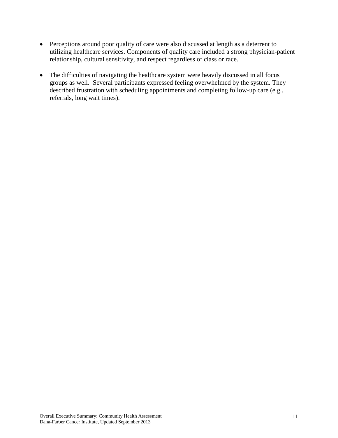- Perceptions around poor quality of care were also discussed at length as a deterrent to utilizing healthcare services. Components of quality care included a strong physician-patient relationship, cultural sensitivity, and respect regardless of class or race.
- The difficulties of navigating the healthcare system were heavily discussed in all focus groups as well. Several participants expressed feeling overwhelmed by the system. They described frustration with scheduling appointments and completing follow-up care (e.g., referrals, long wait times).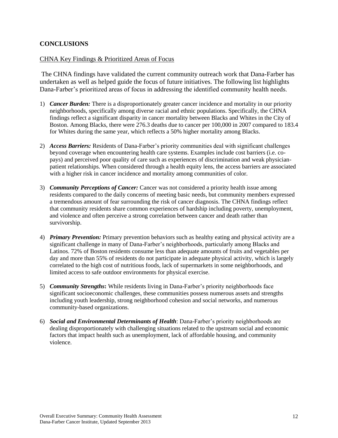### **CONCLUSIONS**

#### CHNA Key Findings & Prioritized Areas of Focus

The CHNA findings have validated the current community outreach work that Dana-Farber has undertaken as well as helped guide the focus of future initiatives. The following list highlights Dana-Farber's prioritized areas of focus in addressing the identified community health needs.

- 1) *Cancer Burden:* There is a disproportionately greater cancer incidence and mortality in our priority neighborhoods, specifically among diverse racial and ethnic populations. Specifically, the CHNA findings reflect a significant disparity in cancer mortality between Blacks and Whites in the City of Boston. Among Blacks, there were 276.3 deaths due to cancer per 100,000 in 2007 compared to 183.4 for Whites during the same year, which reflects a 50% higher mortality among Blacks.
- 2) *Access Barriers:* Residents of Dana-Farber's priority communities deal with significant challenges beyond coverage when encountering health care systems. Examples include cost barriers (i.e. copays) and perceived poor quality of care such as experiences of discrimination and weak physicianpatient relationships. When considered through a health equity lens, the access barriers are associated with a higher risk in cancer incidence and mortality among communities of color.
- 3) *Community Perceptions of Cancer:* Cancer was not considered a priority health issue among residents compared to the daily concerns of meeting basic needs, but community members expressed a tremendous amount of fear surrounding the risk of cancer diagnosis. The CHNA findings reflect that community residents share common experiences of hardship including poverty, unemployment, and violence and often perceive a strong correlation between cancer and death rather than survivorship.
- 4) *Primary Prevention:* Primary prevention behaviors such as healthy eating and physical activity are a significant challenge in many of Dana-Farber's neighborhoods, particularly among Blacks and Latinos. 72% of Boston residents consume less than adequate amounts of fruits and vegetables per day and more than 55% of residents do not participate in adequate physical activity, which is largely correlated to the high cost of nutritious foods, lack of supermarkets in some neighborhoods, and limited access to safe outdoor environments for physical exercise.
- 5) *Community Strengths***:** While residents living in Dana-Farber's priority neighborhoods face significant socioeconomic challenges, these communities possess numerous assets and strengths including youth leadership, strong neighborhood cohesion and social networks, and numerous community-based organizations.
- 6) *Social and Environmental Determinants of Health*: Dana-Farber's priority neighborhoods are dealing disproportionately with challenging situations related to the upstream social and economic factors that impact health such as unemployment, lack of affordable housing, and community violence.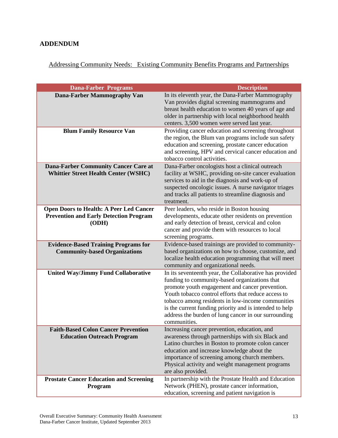## **ADDENDUM**

# Addressing Community Needs: Existing Community Benefits Programs and Partnerships

| <b>Dana-Farber Programs</b>                                                                              | <b>Description</b>                                                                                                                                                                                                                                                                                                                                                                                         |
|----------------------------------------------------------------------------------------------------------|------------------------------------------------------------------------------------------------------------------------------------------------------------------------------------------------------------------------------------------------------------------------------------------------------------------------------------------------------------------------------------------------------------|
| <b>Dana-Farber Mammography Van</b>                                                                       | In its eleventh year, the Dana-Farber Mammography<br>Van provides digital screening mammograms and<br>breast health education to women 40 years of age and                                                                                                                                                                                                                                                 |
|                                                                                                          | older in partnership with local neighborhood health<br>centers. 3,500 women were served last year.                                                                                                                                                                                                                                                                                                         |
| <b>Blum Family Resource Van</b>                                                                          | Providing cancer education and screening throughout<br>the region, the Blum van programs include sun safety<br>education and screening, prostate cancer education<br>and screening, HPV and cervical cancer education and<br>tobacco control activities.                                                                                                                                                   |
| <b>Dana-Farber Community Cancer Care at</b><br><b>Whittier Street Health Center (WSHC)</b>               | Dana-Farber oncologists host a clinical outreach<br>facility at WSHC, providing on-site cancer evaluation<br>services to aid in the diagnosis and work-up of<br>suspected oncologic issues. A nurse navigator triages<br>and tracks all patients to streamline diagnosis and<br>treatment.                                                                                                                 |
| <b>Open Doors to Health: A Peer Led Cancer</b><br><b>Prevention and Early Detection Program</b><br>(ODH) | Peer leaders, who reside in Boston housing<br>developments, educate other residents on prevention<br>and early detection of breast, cervical and colon<br>cancer and provide them with resources to local<br>screening programs.                                                                                                                                                                           |
| <b>Evidence-Based Training Programs for</b><br><b>Community-based Organizations</b>                      | Evidence-based trainings are provided to community-<br>based organizations on how to choose, customize, and<br>localize health education programming that will meet<br>community and organizational needs.                                                                                                                                                                                                 |
| <b>United Way/Jimmy Fund Collaborative</b>                                                               | In its seventeenth year, the Collaborative has provided<br>funding to community-based organizations that<br>promote youth engagement and cancer prevention.<br>Youth tobacco control efforts that reduce access to<br>tobacco among residents in low-income communities<br>is the current funding priority and is intended to help<br>address the burden of lung cancer in our surrounding<br>communities. |
| <b>Faith-Based Colon Cancer Prevention</b><br><b>Education Outreach Program</b>                          | Increasing cancer prevention, education, and<br>awareness through partnerships with six Black and<br>Latino churches in Boston to promote colon cancer<br>education and increase knowledge about the<br>importance of screening among church members.<br>Physical activity and weight management programs<br>are also provided.                                                                            |
| <b>Prostate Cancer Education and Screening</b><br>Program                                                | In partnership with the Prostate Health and Education<br>Network (PHEN), prostate cancer information,<br>education, screening and patient navigation is                                                                                                                                                                                                                                                    |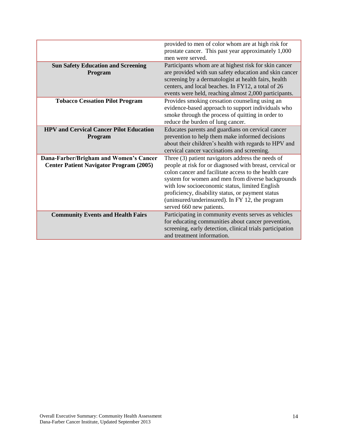|                                                | provided to men of color whom are at high risk for<br>prostate cancer. This past year approximately 1,000<br>men were served. |
|------------------------------------------------|-------------------------------------------------------------------------------------------------------------------------------|
|                                                |                                                                                                                               |
| <b>Sun Safety Education and Screening</b>      | Participants whom are at highest risk for skin cancer                                                                         |
| Program                                        | are provided with sun safety education and skin cancer                                                                        |
|                                                | screening by a dermatologist at health fairs, health                                                                          |
|                                                | centers, and local beaches. In FY12, a total of 26                                                                            |
|                                                | events were held, reaching almost 2,000 participants.                                                                         |
|                                                |                                                                                                                               |
| <b>Tobacco Cessation Pilot Program</b>         | Provides smoking cessation counseling using an                                                                                |
|                                                | evidence-based approach to support individuals who                                                                            |
|                                                | smoke through the process of quitting in order to                                                                             |
|                                                | reduce the burden of lung cancer.                                                                                             |
| <b>HPV and Cervical Cancer Pilot Education</b> | Educates parents and guardians on cervical cancer                                                                             |
| <b>Program</b>                                 | prevention to help them make informed decisions                                                                               |
|                                                | about their children's health with regards to HPV and                                                                         |
|                                                | cervical cancer vaccinations and screening.                                                                                   |
| Dana-Farber/Brigham and Women's Cancer         | Three (3) patient navigators address the needs of                                                                             |
| <b>Center Patient Navigator Program (2005)</b> | people at risk for or diagnosed with breast, cervical or                                                                      |
|                                                | colon cancer and facilitate access to the health care                                                                         |
|                                                | system for women and men from diverse backgrounds                                                                             |
|                                                | with low socioeconomic status, limited English                                                                                |
|                                                | proficiency, disability status, or payment status                                                                             |
|                                                |                                                                                                                               |
|                                                | (uninsured/underinsured). In FY 12, the program                                                                               |
|                                                | served 660 new patients.                                                                                                      |
| <b>Community Events and Health Fairs</b>       | Participating in community events serves as vehicles                                                                          |
|                                                | for educating communities about cancer prevention,                                                                            |
|                                                | screening, early detection, clinical trials participation                                                                     |
|                                                | and treatment information.                                                                                                    |
|                                                |                                                                                                                               |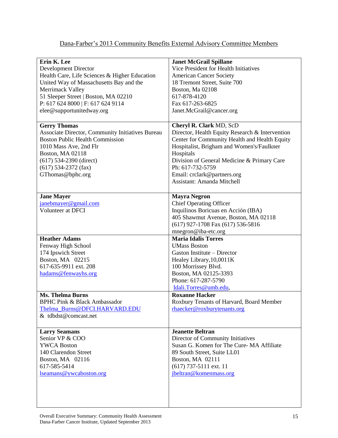| Dana-Farber's 2013 Community Benefits External Advisory Committee Members |
|---------------------------------------------------------------------------|
|---------------------------------------------------------------------------|

| Erin K. Lee                                      | <b>Janet McGrail Spillane</b>                   |
|--------------------------------------------------|-------------------------------------------------|
| <b>Development Director</b>                      | Vice President for Health Initiatives           |
| Health Care, Life Sciences & Higher Education    | <b>American Cancer Society</b>                  |
| United Way of Massachusetts Bay and the          | 18 Tremont Street, Suite 700                    |
| Merrimack Valley                                 | Boston, Ma 02108                                |
|                                                  | 617-878-4120                                    |
| 51 Sleeper Street   Boston, MA 02210             |                                                 |
| P: 617 624 8000   F: 617 624 9114                | Fax 617-263-6825                                |
| elee@supportunitedway.org                        | Janet.McGrail@cancer.org                        |
|                                                  |                                                 |
| <b>Gerry Thomas</b>                              | Cheryl R. Clark MD, ScD                         |
| Associate Director, Community Initiatives Bureau | Director, Health Equity Research & Intervention |
| <b>Boston Public Health Commission</b>           | Center for Community Health and Health Equity   |
| 1010 Mass Ave, 2nd Flr                           | Hospitalist, Brigham and Women's/Faulkner       |
|                                                  |                                                 |
| <b>Boston, MA 02118</b>                          | Hospitals                                       |
| $(617)$ 534-2390 (direct)                        | Division of General Medicine & Primary Care     |
| $(617)$ 534-2372 (fax)                           | Ph: 617-732-5759                                |
| GThomas@bphc.org                                 | Email: crclark@partners.org                     |
|                                                  | <b>Assistant: Amanda Mitchell</b>               |
|                                                  |                                                 |
| <b>Jane Mayer</b>                                | <b>Mayra Negron</b>                             |
| janebmayer@gmail.com                             | <b>Chief Operating Officer</b>                  |
| Volunteer at DFCI                                |                                                 |
|                                                  | Inquilinos Boricuas en Acción (IBA)             |
|                                                  | 405 Shawmut Avenue, Boston, MA 02118            |
|                                                  | (617) 927-1708 Fax (617) 536-5816               |
|                                                  | mnegron@iba-etc.org                             |
| <b>Heather Adams</b>                             | <b>Maria Idalis Torres</b>                      |
| Fenway High School                               | <b>UMass Boston</b>                             |
| 174 Ipswich Street                               | Gaston Institute - Director                     |
| Boston, MA 02215                                 | Healey Library, 10,0011K                        |
| 617-635-9911 ext. 208                            | 100 Morrissey Blvd.                             |
|                                                  | Boston, MA 02125-3393                           |
| hadams@fenwayhs.org                              |                                                 |
|                                                  | Phone: 617-287-5790                             |
|                                                  | Idali.Torres@umb.edu,                           |
| <b>Ms. Thelma Burns</b>                          | <b>Roxanne Hacker</b>                           |
| <b>BPHC Pink &amp; Black Ambassador</b>          | Roxbury Tenants of Harvard, Board Member        |
| Thelma_Burns@DFCI.HARVARD.EDU                    | rhaecker@roxburytenants.org                     |
| & tdbdst@comcast.net                             |                                                 |
|                                                  |                                                 |
| <b>Larry Seamans</b>                             | <b>Jeanette Beltran</b>                         |
| Senior VP & COO                                  | Director of Community Initiatives               |
| <b>YWCA Boston</b>                               | Susan G. Komen for The Cure-MA Affiliate        |
|                                                  |                                                 |
| 140 Clarendon Street                             | 89 South Street, Suite LL01                     |
| Boston, MA 02116                                 | Boston, MA 02111                                |
| 617-585-5414                                     | $(617)$ 737-5111 ext. 11                        |
| lseamans@ywcaboston.org                          | jbeltran@komenmass.org                          |
|                                                  |                                                 |
|                                                  |                                                 |
|                                                  |                                                 |